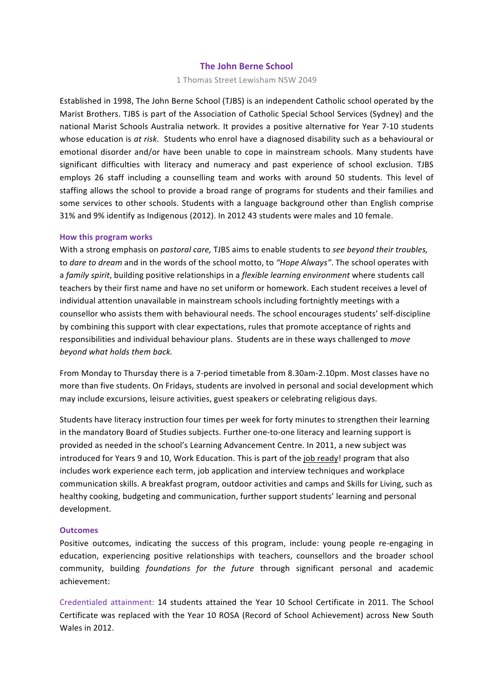### **The John Berne School**

1 Thomas Street Lewisham NSW 2049

Established in 1998, The John Berne School (TJBS) is an independent Catholic school operated by the Marist Brothers. TJBS is part of the Association of Catholic Special School Services (Sydney) and the national Marist Schools Australia network. It provides a positive alternative for Year 7-10 students whose education is at risk. Students who enrol have a diagnosed disability such as a behavioural or emotional disorder and/or have been unable to cope in mainstream schools. Many students have significant difficulties with literacy and numeracy and past experience of school exclusion. TJBS employs 26 staff including a counselling team and works with around 50 students. This level of staffing allows the school to provide a broad range of programs for students and their families and some services to other schools. Students with a language background other than English comprise 31% and 9% identify as Indigenous (2012). In 2012 43 students were males and 10 female.

#### **How this program works**

With a strong emphasis on *pastoral care*, TJBS aims to enable students to *see beyond their troubles,* to *dare to dream* and in the words of the school motto, to "Hope Always". The school operates with a *family spirit*, building positive relationships in a *flexible learning environment* where students call teachers by their first name and have no set uniform or homework. Each student receives a level of individual attention unavailable in mainstream schools including fortnightly meetings with a counsellor who assists them with behavioural needs. The school encourages students' self-discipline by combining this support with clear expectations, rules that promote acceptance of rights and responsibilities and individual behaviour plans. Students are in these ways challenged to *move beyond what holds them back.*

From Monday to Thursday there is a 7-period timetable from 8.30am-2.10pm. Most classes have no more than five students. On Fridays, students are involved in personal and social development which may include excursions, leisure activities, guest speakers or celebrating religious days.

Students have literacy instruction four times per week for forty minutes to strengthen their learning in the mandatory Board of Studies subjects. Further one-to-one literacy and learning support is provided as needed in the school's Learning Advancement Centre. In 2011, a new subject was introduced for Years 9 and 10, Work Education. This is part of the job ready! program that also includes work experience each term, job application and interview techniques and workplace communication skills. A breakfast program, outdoor activities and camps and Skills for Living, such as healthy cooking, budgeting and communication, further support students' learning and personal development. 

# **Outcomes**

Positive outcomes, indicating the success of this program, include: young people re-engaging in education, experiencing positive relationships with teachers, counsellors and the broader school community, building *foundations for the future* through significant personal and academic achievement:

Credentialed attainment: 14 students attained the Year 10 School Certificate in 2011. The School Certificate was replaced with the Year 10 ROSA (Record of School Achievement) across New South Wales in 2012.